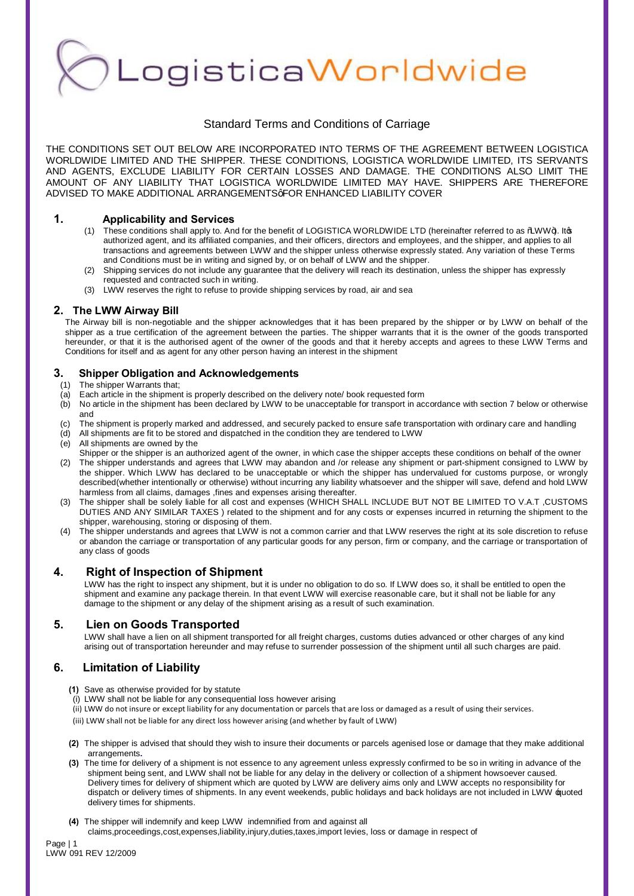LogisticaWorldwide

# Standard Terms and Conditions of Carriage

THE CONDITIONS SET OUT BELOW ARE INCORPORATED INTO TERMS OF THE AGREEMENT BETWEEN LOGISTICA WORLDWIDE LIMITED AND THE SHIPPER. THESE CONDITIONS, LOGISTICA WORLDWIDE LIMITED, ITS SERVANTS AND AGENTS, EXCLUDE LIABILITY FOR CERTAIN LOSSES AND DAMAGE. THE CONDITIONS ALSO LIMIT THE AMOUNT OF ANY LIABILITY THAT LOGISTICA WORLDWIDE LIMITED MAY HAVE. SHIPPERS ARE THEREFORE ADVISED TO MAKE ADDITIONAL ARRANGEMENTSGFOR ENHANCED LIABILITY COVER

## **1. Applicability and Services**

- (1) These conditions shall apply to. And for the benefit of LOGISTICA WORLDWIDE LTD (hereinafter referred to as %WW+). Its authorized agent, and its affiliated companies, and their officers, directors and employees, and the shipper, and applies to all transactions and agreements between LWW and the shipper unless otherwise expressly stated. Any variation of these Terms and Conditions must be in writing and signed by, or on behalf of LWW and the shipper.
- (2) Shipping services do not include any guarantee that the delivery will reach its destination, unless the shipper has expressly requested and contracted such in writing.
- (3) LWW reserves the right to refuse to provide shipping services by road, air and sea

## **2. The LWW Airway Bill**

The Airway bill is non-negotiable and the shipper acknowledges that it has been prepared by the shipper or by LWW on behalf of the shipper as a true certification of the agreement between the parties. The shipper warrants that it is the owner of the goods transported hereunder, or that it is the authorised agent of the owner of the goods and that it hereby accepts and agrees to these LWW Terms and Conditions for itself and as agent for any other person having an interest in the shipment

## **3. Shipper Obligation and Acknowledgements**

- (1) The shipper Warrants that;
- $\overline{a}$  Each article in the shipment is properly described on the delivery note/ book requested form
- $(b)$  No article in the shipment has been declared by LWW to be unacceptable for transport in accordance with section 7 below or otherwise and
- (c) The shipment is properly marked and addressed, and securely packed to ensure safe transportation with ordinary care and handling
- (d) All shipments are fit to be stored and dispatched in the condition they are tendered to LWW
- (e) All shipments are owned by the
- Shipper or the shipper is an authorized agent of the owner, in which case the shipper accepts these conditions on behalf of the owner (2) The shipper understands and agrees that LWW may abandon and /or release any shipment or part-shipment consigned to LWW by the shipper. Which LWW has declared to be unacceptable or which the shipper has undervalued for customs purpose, or wrongly described(whether intentionally or otherwise) without incurring any liability whatsoever and the shipper will save, defend and hold LWW harmless from all claims, damages ,fines and expenses arising thereafter.
- (3) The shipper shall be solely liable for all cost and expenses (WHICH SHALL INCLUDE BUT NOT BE LIMITED TO V.A.T ,CUSTOMS DUTIES AND ANY SIMILAR TAXES ) related to the shipment and for any costs or expenses incurred in returning the shipment to the shipper, warehousing, storing or disposing of them.
- (4) The shipper understands and agrees that LWW is not a common carrier and that LWW reserves the right at its sole discretion to refuse or abandon the carriage or transportation of any particular goods for any person, firm or company, and the carriage or transportation of any class of goods

# **4. Right of Inspection of Shipment**

LWW has the right to inspect any shipment, but it is under no obligation to do so. If LWW does so, it shall be entitled to open the shipment and examine any package therein. In that event LWW will exercise reasonable care, but it shall not be liable for any damage to the shipment or any delay of the shipment arising as a result of such examination.

# **5. Lien on Goods Transported**

LWW shall have a lien on all shipment transported for all freight charges, customs duties advanced or other charges of any kind arising out of transportation hereunder and may refuse to surrender possession of the shipment until all such charges are paid.

# **6. Limitation of Liability**

- **(1)** Save as otherwise provided for by statute
- (i) LWW shall not be liable for any consequential loss however arising
- (ii) LWW do not insure or except liability for any documentation or parcels that are loss or damaged as a result of using their services.
- (iii) LWW shall not be liable for any direct loss however arising (and whether by fault of LWW)
- **(2)** The shipper is advised that should they wish to insure their documents or parcels agenised lose or damage that they make additional arrangements**.**
- **(3)** The time for delivery of a shipment is not essence to any agreement unless expressly confirmed to be so in writing in advance of the shipment being sent, and LWW shall not be liable for any delay in the delivery or collection of a shipment howsoever caused. Delivery times for delivery of shipment which are quoted by LWW are delivery aims only and LWW accepts no responsibility for dispatch or delivery times of shipments. In any event weekends, public holidays and back holidays are not included in LWW 'quoted delivery times for shipments.
- **(4)** The shipper will indemnify and keep LWW indemnified from and against all claims,proceedings,cost,expenses,liability,injury,duties,taxes,import levies, loss or damage in respect of